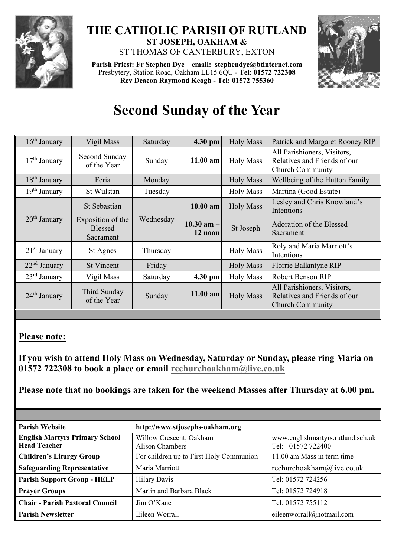

## **THE CATHOLIC PARISH OF RUTLAND ST JOSEPH, OAKHAM &**  ST THOMAS OF CANTERBURY, EXTON

**Parish Priest: Fr Stephen Dye** – **[email: stephendye@btinternet.com](mailto:email:%20%20stephendye@btinternet.com)** Presbytery, Station Road, Oakham LE15 6QU - **Tel: 01572 722308 Rev Deacon Raymond Keogh - Tel: 01572 755360**



## **Second Sunday of the Year**

| $16th$ January           | Vigil Mass                                       | Saturday  | 4.30 pm                   | <b>Holy Mass</b> | Patrick and Margaret Rooney RIP                                                        |
|--------------------------|--------------------------------------------------|-----------|---------------------------|------------------|----------------------------------------------------------------------------------------|
| $17th$ January           | Second Sunday<br>of the Year                     | Sunday    | $11.00$ am                | <b>Holy Mass</b> | All Parishioners, Visitors,<br>Relatives and Friends of our<br><b>Church Community</b> |
| 18 <sup>th</sup> January | Feria                                            | Monday    |                           | <b>Holy Mass</b> | Wellbeing of the Hutton Family                                                         |
| 19 <sup>th</sup> January | St Wulstan                                       | Tuesday   |                           | <b>Holy Mass</b> | Martina (Good Estate)                                                                  |
| $20th$ January           | St Sebastian                                     | Wednesday | $10.00$ am                | <b>Holy Mass</b> | Lesley and Chris Knowland's<br>Intentions                                              |
|                          | Exposition of the<br><b>Blessed</b><br>Sacrament |           | $10.30$ am $-$<br>12 noon | St Joseph        | Adoration of the Blessed<br>Sacrament                                                  |
| $21st$ January           | St Agnes                                         | Thursday  |                           | <b>Holy Mass</b> | Roly and Maria Marriott's<br>Intentions                                                |
| $22nd$ January           | <b>St Vincent</b>                                | Friday    |                           | <b>Holy Mass</b> | Florrie Ballantyne RIP                                                                 |
| $23rd$ January           | Vigil Mass                                       | Saturday  | 4.30 pm                   | <b>Holy Mass</b> | Robert Benson RIP                                                                      |
| $24th$ January           | Third Sunday<br>of the Year                      | Sunday    | $11.00$ am                | <b>Holy Mass</b> | All Parishioners, Visitors,<br>Relatives and Friends of our<br><b>Church Community</b> |

## **Please note:**

**If you wish to attend Holy Mass on Wednesday, Saturday or Sunday, please ring Maria on 01572 722308 to book a place or email [rcchurchoakham@live.co.uk](mailto:rcchurchoakham@live.co.uk)**

**Please note that no bookings are taken for the weekend Masses after Thursday at 6.00 pm.**

| <b>Parish Website</b>                                        | http://www.stjosephs-oakham.org            |                                                        |  |  |
|--------------------------------------------------------------|--------------------------------------------|--------------------------------------------------------|--|--|
| <b>English Martyrs Primary School</b><br><b>Head Teacher</b> | Willow Crescent, Oakham<br>Alison Chambers | www.englishmartyrs.rutland.sch.uk<br>Tel: 01572 722400 |  |  |
| <b>Children's Liturgy Group</b>                              | For children up to First Holy Communion    | 11.00 am Mass in term time                             |  |  |
| <b>Safeguarding Representative</b>                           | Maria Marriott                             | rcchurchoakham@live.co.uk                              |  |  |
| <b>Parish Support Group - HELP</b>                           | <b>Hilary Davis</b>                        | Tel: 01572 724256                                      |  |  |
| <b>Prayer Groups</b>                                         | Martin and Barbara Black                   | Tel: 01572 724918                                      |  |  |
| <b>Chair - Parish Pastoral Council</b>                       | Jim O'Kane                                 | Tel: 01572 755112                                      |  |  |
| <b>Parish Newsletter</b>                                     | Eileen Worrall                             | eileenworrall@hotmail.com                              |  |  |